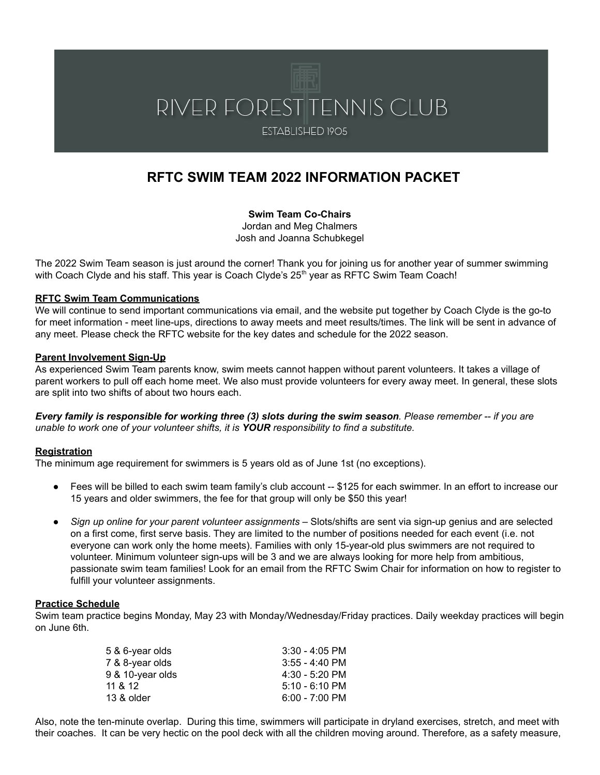# RIVER FOREST TENNIS CLUB

ESTABLISHED 1905

# **RFTC SWIM TEAM 2022 INFORMATION PACKET**

**Swim Team Co-Chairs** Jordan and Meg Chalmers Josh and Joanna Schubkegel

The 2022 Swim Team season is just around the corner! Thank you for joining us for another year of summer swimming with Coach Clyde and his staff. This year is Coach Clyde's 25<sup>th</sup> year as RFTC Swim Team Coach!

#### **RFTC Swim Team Communications**

We will continue to send important communications via email, and the website put together by Coach Clyde is the go-to for meet information - meet line-ups, directions to away meets and meet results/times. The link will be sent in advance of any meet. Please check the RFTC website for the key dates and schedule for the 2022 season.

#### **Parent Involvement Sign-Up**

As experienced Swim Team parents know, swim meets cannot happen without parent volunteers. It takes a village of parent workers to pull off each home meet. We also must provide volunteers for every away meet. In general, these slots are split into two shifts of about two hours each.

Every family is responsible for working three (3) slots during the swim season. Please remember -- if you are *unable to work one of your volunteer shifts, it is YOUR responsibility to find a substitute.*

#### **Registration**

The minimum age requirement for swimmers is 5 years old as of June 1st (no exceptions).

- Fees will be billed to each swim team family's club account -- \$125 for each swimmer. In an effort to increase our 15 years and older swimmers, the fee for that group will only be \$50 this year!
- *Sign up online for your parent volunteer assignments* Slots/shifts are sent via sign-up genius and are selected on a first come, first serve basis. They are limited to the number of positions needed for each event (i.e. not everyone can work only the home meets). Families with only 15-year-old plus swimmers are not required to volunteer. Minimum volunteer sign-ups will be 3 and we are always looking for more help from ambitious, passionate swim team families! Look for an email from the RFTC Swim Chair for information on how to register to fulfill your volunteer assignments.

#### **Practice Schedule**

Swim team practice begins Monday, May 23 with Monday/Wednesday/Friday practices. Daily weekday practices will begin on June 6th.

| $3:30 - 4:05$ PM         |
|--------------------------|
| $3:55 - 4:40$ PM         |
| $4:30 - 5:20$ PM         |
| $5:10 - 6:10 \text{ PM}$ |
| $6:00 - 7:00$ PM         |
|                          |

Also, note the ten-minute overlap. During this time, swimmers will participate in dryland exercises, stretch, and meet with their coaches. It can be very hectic on the pool deck with all the children moving around. Therefore, as a safety measure,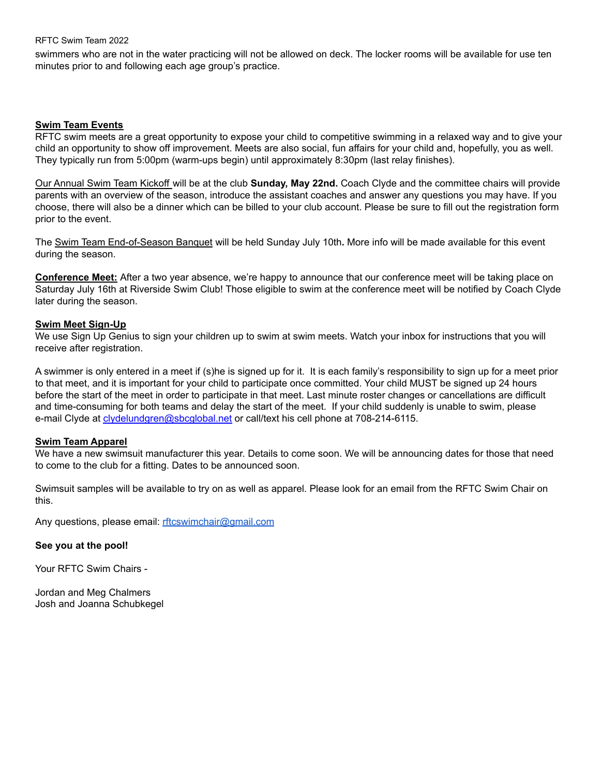#### RFTC Swim Team 2022

swimmers who are not in the water practicing will not be allowed on deck. The locker rooms will be available for use ten minutes prior to and following each age group's practice.

#### **Swim Team Events**

RFTC swim meets are a great opportunity to expose your child to competitive swimming in a relaxed way and to give your child an opportunity to show off improvement. Meets are also social, fun affairs for your child and, hopefully, you as well. They typically run from 5:00pm (warm-ups begin) until approximately 8:30pm (last relay finishes).

Our Annual Swim Team Kickoff will be at the club **Sunday, May 22nd.** Coach Clyde and the committee chairs will provide parents with an overview of the season, introduce the assistant coaches and answer any questions you may have. If you choose, there will also be a dinner which can be billed to your club account. Please be sure to fill out the registration form prior to the event.

The Swim Team End-of-Season Banquet will be held Sunday July 10th**.** More info will be made available for this event during the season.

**Conference Meet:** After a two year absence, we're happy to announce that our conference meet will be taking place on Saturday July 16th at Riverside Swim Club! Those eligible to swim at the conference meet will be notified by Coach Clyde later during the season.

#### **Swim Meet Sign-Up**

We use Sign Up Genius to sign your children up to swim at swim meets. Watch your inbox for instructions that you will receive after registration.

A swimmer is only entered in a meet if (s)he is signed up for it. It is each family's responsibility to sign up for a meet prior to that meet, and it is important for your child to participate once committed. Your child MUST be signed up 24 hours before the start of the meet in order to participate in that meet. Last minute roster changes or cancellations are difficult and time-consuming for both teams and delay the start of the meet. If your child suddenly is unable to swim, please e-mail Clyde at [clydelundgren@sbcglobal.net](mailto:clydelundgren@sbcglobal.net) or call/text his cell phone at 708-214-6115.

#### **Swim Team Apparel**

We have a new swimsuit manufacturer this year. Details to come soon. We will be announcing dates for those that need to come to the club for a fitting. Dates to be announced soon.

Swimsuit samples will be available to try on as well as apparel. Please look for an email from the RFTC Swim Chair on this.

Any questions, please email: [rftcswimchair@gmail.com](mailto:rftcswimchair@gmail.com)

#### **See you at the pool!**

Your RFTC Swim Chairs -

Jordan and Meg Chalmers Josh and Joanna Schubkegel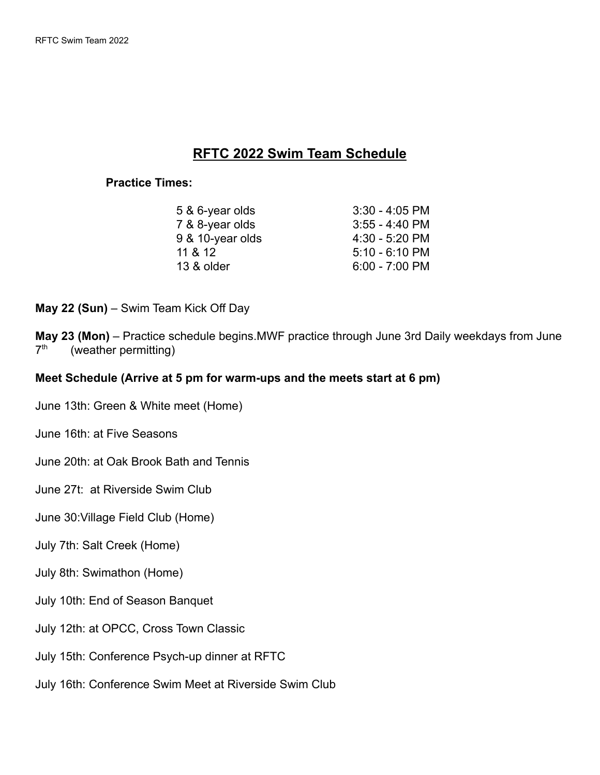## **RFTC 2022 Swim Team Schedule**

## **Practice Times:**

| 5 & 6-year olds  | $3:30 - 4:05$ PM |
|------------------|------------------|
| 7 & 8-year olds  | $3:55 - 4:40$ PM |
| 9 & 10-year olds | $4:30 - 5:20$ PM |
| 11 & 12          | $5:10 - 6:10$ PM |
| 13 & older       | $6:00 - 7:00$ PM |
|                  |                  |

**May 22 (Sun)** – Swim Team Kick Off Day

**May 23 (Mon)** – Practice schedule begins.MWF practice through June 3rd Daily weekdays from June  $7<sup>th</sup>$ (weather permitting)

## **Meet Schedule (Arrive at 5 pm for warm-ups and the meets start at 6 pm)**

- June 13th: Green & White meet (Home)
- June 16th: at Five Seasons
- June 20th: at Oak Brook Bath and Tennis
- June 27t: at Riverside Swim Club
- June 30:Village Field Club (Home)
- July 7th: Salt Creek (Home)
- July 8th: Swimathon (Home)
- July 10th: End of Season Banquet
- July 12th: at OPCC, Cross Town Classic
- July 15th: Conference Psych-up dinner at RFTC
- July 16th: Conference Swim Meet at Riverside Swim Club